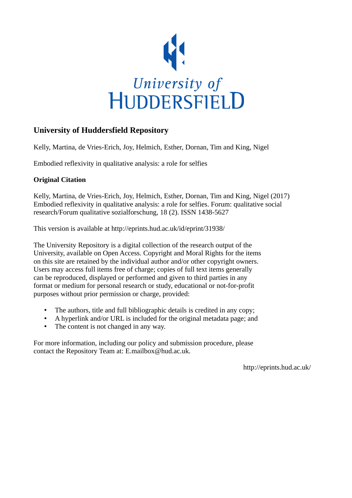

# **University of Huddersfield Repository**

Kelly, Martina, de Vries-Erich, Joy, Helmich, Esther, Dornan, Tim and King, Nigel

Embodied reflexivity in qualitative analysis: a role for selfies

# **Original Citation**

Kelly, Martina, de Vries-Erich, Joy, Helmich, Esther, Dornan, Tim and King, Nigel (2017) Embodied reflexivity in qualitative analysis: a role for selfies. Forum: qualitative social research/Forum qualitative sozialforschung, 18 (2). ISSN 1438-5627

This version is available at http://eprints.hud.ac.uk/id/eprint/31938/

The University Repository is a digital collection of the research output of the University, available on Open Access. Copyright and Moral Rights for the items on this site are retained by the individual author and/or other copyright owners. Users may access full items free of charge; copies of full text items generally can be reproduced, displayed or performed and given to third parties in any format or medium for personal research or study, educational or not-for-profit purposes without prior permission or charge, provided:

- The authors, title and full bibliographic details is credited in any copy;
- A hyperlink and/or URL is included for the original metadata page; and
- The content is not changed in any way.

For more information, including our policy and submission procedure, please contact the Repository Team at: E.mailbox@hud.ac.uk.

http://eprints.hud.ac.uk/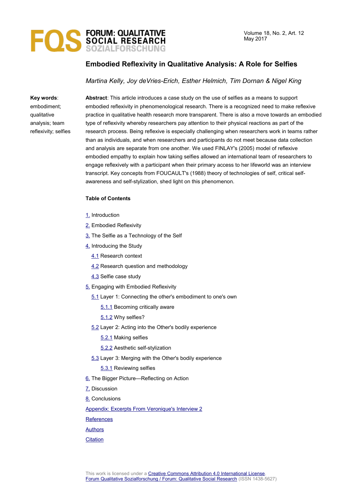

# **Embodied Reflexivity in Qualitative Analysis: A Role for Selfies**

#### *Martina Kelly, Joy deVries-Erich, Esther Helmich, Tim Dornan & Nigel King*

**Key words**:

embodiment; qualitative analysis; team reflexivity; selfies **Abstract**: This article introduces a case study on the use of selfies as a means to support embodied reflexivity in phenomenological research. There is a recognized need to make reflexive practice in qualitative health research more transparent. There is also a move towards an embodied type of reflexivity whereby researchers pay attention to their physical reactions as part of the research process. Being reflexive is especially challenging when researchers work in teams rather than as individuals, and when researchers and participants do not meet because data collection and analysis are separate from one another. We used FINLAY's (2005) model of reflexive embodied empathy to explain how taking selfies allowed an international team of researchers to engage reflexively with a participant when their primary access to her lifeworld was an interview transcript. Key concepts from FOUCAULT's (1988) theory of technologies of self, critical selfawareness and self-stylization, shed light on this phenomenon.

#### **Table of Contents**

- [1.](#page-2-1) Introduction
- [2.](#page-2-0) Embodied Reflexivity
- [3.](#page-4-0) The Selfie as a Technology of the Self
- [4.](#page-5-1) Introducing the Study
	- [4.1](#page-5-0) Research context
	- [4.2](#page-6-0) Research question and methodology
	- [4.3](#page-7-2) Selfie case study
- [5.](#page-7-1) Engaging with Embodied Reflexivity
	- [5.1](#page-7-0) Layer 1: Connecting the other's embodiment to one's own
		- [5.1.1](#page-9-0) Becoming critically aware
		- [5.1.2](#page-10-0) Why selfies?
	- [5.2](#page-11-1) Layer 2: Acting into the Other's bodily experience
		- [5.2.1](#page-11-0) Making selfies
		- [5.2.2](#page-13-2) Aesthetic self-stylization
	- [5.3](#page-13-1) Layer 3: Merging with the Other's bodily experience
		- [5.3.1](#page-13-0) Reviewing selfies
- [6.](#page-14-1) The Bigger Picture—Reflecting on Action
- [7.](#page-14-0) Discussion
- [8.](#page-17-0) Conclusions
- [Appendix: Excerpts From Veronique's Interview 2](#page-18-1)

**[References](#page-18-0)** 

[Authors](#page-20-0)

**[Citation](#page-21-0)**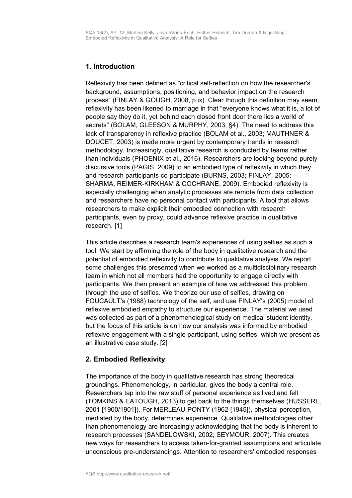# <span id="page-2-1"></span>**1. Introduction**

Reflexivity has been defined as "critical self-reflection on how the researcher's background, assumptions, positioning, and behavior impact on the research process" (FINLAY & GOUGH, 2008, p.ix). Clear though this definition may seem, reflexivity has been likened to marriage in that "everyone knows what it is, a lot of people say they do it, yet behind each closed front door there lies a world of secrets" (BOLAM, GLEESON & MURPHY, 2003, §4). The need to address this lack of transparency in reflexive practice (BOLAM et al., 2003; MAUTHNER & DOUCET, 2003) is made more urgent by contemporary trends in research methodology. Increasingly, qualitative research is conducted by teams rather than individuals (PHOENIX et al., 2016). Researchers are looking beyond purely discursive tools (PAGIS, 2009) to an embodied type of reflexivity in which they and research participants co-participate (BURNS, 2003; FINLAY, 2005; SHARMA, REIMER-KIRKHAM & COCHRANE, 2009). Embodied reflexivity is especially challenging when analytic processes are remote from data collection and researchers have no personal contact with participants. A tool that allows researchers to make explicit their embodied connection with research participants, even by proxy, could advance reflexive practice in qualitative research. [1]

This article describes a research team's experiences of using selfies as such a tool. We start by affirming the role of the body in qualitative research and the potential of embodied reflexivity to contribute to qualitative analysis. We report some challenges this presented when we worked as a multidisciplinary research team in which not all members had the opportunity to engage directly with participants. We then present an example of how we addressed this problem through the use of selfies. We theorize our use of selfies, drawing on FOUCAULT's (1988) technology of the self, and use FINLAY's (2005) model of reflexive embodied empathy to structure our experience. The material we used was collected as part of a phenomenological study on medical student identity, but the focus of this article is on how our analysis was informed by embodied reflexive engagement with a single participant, using selfies, which we present as an illustrative case study. [2]

# <span id="page-2-0"></span>**2. Embodied Reflexivity**

The importance of the body in qualitative research has strong theoretical groundings. Phenomenology, in particular, gives the body a central role. Researchers tap into the raw stuff of personal experience as lived and felt (TOMKINS & EATOUGH, 2013) to get back to the things themselves (HUSSERL, 2001 [1900/1901]). For MERLEAU-PONTY (1962 [1945]), physical perception, mediated by the body, determines experience. Qualitative methodologies other than phenomenology are increasingly acknowledging that the body is inherent to research processes (SANDELOWSKI, 2002; SEYMOUR, 2007). This creates new ways for researchers to access taken-for-granted assumptions and articulate unconscious pre-understandings. Attention to researchers' embodied responses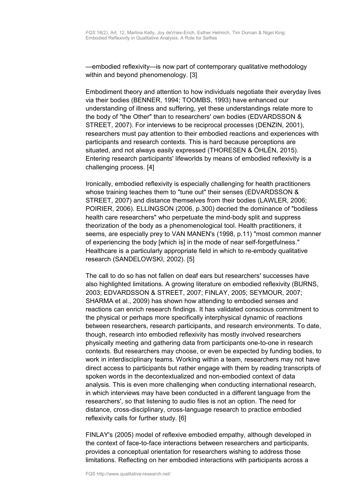—embodied reflexivity—is now part of contemporary qualitative methodology within and beyond phenomenology. [3]

Embodiment theory and attention to how individuals negotiate their everyday lives via their bodies (BENNER, 1994; TOOMBS, 1993) have enhanced our understanding of illness and suffering, yet these understandings relate more to the body of "the Other" than to researchers' own bodies (EDVARDSSON & STREET, 2007). For interviews to be reciprocal processes (DENZIN, 2001), researchers must pay attention to their embodied reactions and experiences with participants and research contexts. This is hard because perceptions are situated, and not always easily expressed (THORESEN & ÖHLÉN, 2015). Entering research participants' lifeworlds by means of embodied reflexivity is a challenging process. [4]

Ironically, embodied reflexivity is especially challenging for health practitioners whose training teaches them to "tune out" their senses (EDVARDSSON & STREET, 2007) and distance themselves from their bodies (LAWLER, 2006; POIRIER, 2006). ELLINGSON (2006, p.300) decried the dominance of "bodiless health care researchers" who perpetuate the mind-body split and suppress theorization of the body as a phenomenological tool. Health practitioners, it seems, are especially prey to VAN MANEN's (1998, p.11) "most common manner of experiencing the body [which is] in the mode of near self-forgetfulness." Healthcare is a particularly appropriate field in which to re-embody qualitative research (SANDELOWSKI, 2002). [5]

The call to do so has not fallen on deaf ears but researchers' successes have also highlighted limitations. A growing literature on embodied reflexivity (BURNS, 2003; EDVARDSSON & STREET, 2007; FINLAY, 2005; SEYMOUR, 2007; SHARMA et al., 2009) has shown how attending to embodied senses and reactions can enrich research findings. It has validated conscious commitment to the physical or perhaps more specifically interphysical dynamic of reactions between researchers, research participants, and research environments. To date, though, research into embodied reflexivity has mostly involved researchers physically meeting and gathering data from participants one-to-one in research contexts. But researchers may choose, or even be expected by funding bodies, to work in interdisciplinary teams. Working within a team, researchers may not have direct access to participants but rather engage with them by reading transcripts of spoken words in the decontextualized and non-embodied context of data analysis. This is even more challenging when conducting international research, in which interviews may have been conducted in a different language from the researchers', so that listening to audio files is not an option. The need for distance, cross-disciplinary, cross-language research to practice embodied reflexivity calls for further study. [6]

FINLAY's (2005) model of reflexive embodied empathy, although developed in the context of face-to-face interactions between researchers and participants, provides a conceptual orientation for researchers wishing to address those limitations. Reflecting on her embodied interactions with participants across a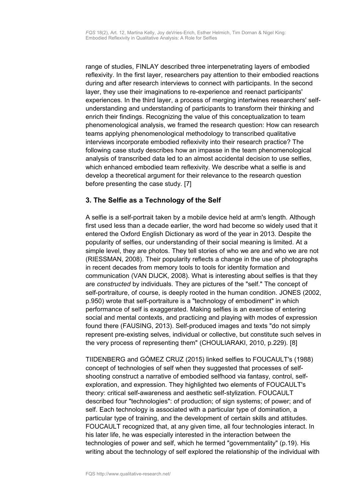range of studies, FINLAY described three interpenetrating layers of embodied reflexivity. In the first layer, researchers pay attention to their embodied reactions during and after research interviews to connect with participants. In the second layer, they use their imaginations to re-experience and reenact participants' experiences. In the third layer, a process of merging intertwines researchers' selfunderstanding and understanding of participants to transform their thinking and enrich their findings. Recognizing the value of this conceptualization to team phenomenological analysis, we framed the research question: How can research teams applying phenomenological methodology to transcribed qualitative interviews incorporate embodied reflexivity into their research practice? The following case study describes how an impasse in the team phenomenological analysis of transcribed data led to an almost accidental decision to use selfies, which enhanced embodied team reflexivity. We describe what a selfie is and develop a theoretical argument for their relevance to the research question before presenting the case study. [7]

# <span id="page-4-0"></span>**3. The Selfie as a Technology of the Self**

A selfie is a self-portrait taken by a mobile device held at arm's length. Although first used less than a decade earlier, the word had become so widely used that it entered the Oxford English Dictionary as word of the year in 2013. Despite the popularity of selfies, our understanding of their social meaning is limited. At a simple level, they are photos. They tell stories of who we are and who we are not (RIESSMAN, 2008). Their popularity reflects a change in the use of photographs in recent decades from memory tools to tools for identity formation and communication (VAN DIJCK, 2008). What is interesting about selfies is that they are *constructed* by individuals. They are pictures of the "self." The concept of self-portraiture, of course, is deeply rooted in the human condition. JONES (2002, p.950) wrote that self-portraiture is a "technology of embodiment" in which performance of self is exaggerated. Making selfies is an exercise of entering social and mental contexts, and practicing and playing with modes of expression found there (FAUSING, 2013). Self-produced images and texts "do not simply represent pre-existing selves, individual or collective, but constitute such selves in the very process of representing them" (CHOULIARAKI, 2010, p.229). [8]

TIIDENBERG and GÓMEZ CRUZ (2015) linked selfies to FOUCAULT's (1988) concept of technologies of self when they suggested that processes of selfshooting construct a narrative of embodied selfhood via fantasy, control, selfexploration, and expression. They highlighted two elements of FOUCAULT's theory: critical self-awareness and aesthetic self-stylization. FOUCAULT described four "technologies": of production; of sign systems; of power; and of self. Each technology is associated with a particular type of domination, a particular type of training, and the development of certain skills and attitudes. FOUCAULT recognized that, at any given time, all four technologies interact. In his later life, he was especially interested in the interaction between the technologies of power and self, which he termed "governmentality" (p.19). His writing about the technology of self explored the relationship of the individual with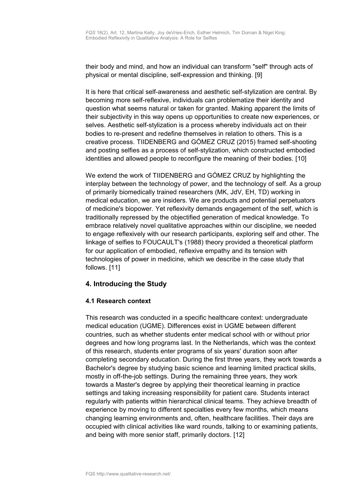their body and mind, and how an individual can transform "self" through acts of physical or mental discipline, self-expression and thinking. [9]

It is here that critical self-awareness and aesthetic self-stylization are central. By becoming more self-reflexive, individuals can problematize their identity and question what seems natural or taken for granted. Making apparent the limits of their subjectivity in this way opens up opportunities to create new experiences, or selves. Aesthetic self-stylization is a process whereby individuals act on their bodies to re-present and redefine themselves in relation to others. This is a creative process. TIIDENBERG and GÓMEZ CRUZ (2015) framed self-shooting and posting selfies as a process of self-stylization, which constructed embodied identities and allowed people to reconfigure the meaning of their bodies. [10]

We extend the work of TIIDENBERG and GÓMEZ CRUZ by highlighting the interplay between the technology of power, and the technology of self. As a group of primarily biomedically trained researchers (MK, JdV, EH, TD) working in medical education, we are insiders. We are products and potential perpetuators of medicine's biopower. Yet reflexivity demands engagement of the self, which is traditionally repressed by the objectified generation of medical knowledge. To embrace relatively novel qualitative approaches within our discipline, we needed to engage reflexively with our research participants, exploring self and other. The linkage of selfies to FOUCAULT's (1988) theory provided a theoretical platform for our application of embodied, reflexive empathy and its tension with technologies of power in medicine, which we describe in the case study that follows. [11]

# <span id="page-5-1"></span>**4. Introducing the Study**

### <span id="page-5-0"></span>**4.1 Research context**

This research was conducted in a specific healthcare context: undergraduate medical education (UGME). Differences exist in UGME between different countries, such as whether students enter medical school with or without prior degrees and how long programs last. In the Netherlands, which was the context of this research, students enter programs of six years' duration soon after completing secondary education. During the first three years, they work towards a Bachelor's degree by studying basic science and learning limited practical skills, mostly in off-the-job settings. During the remaining three years, they work towards a Master's degree by applying their theoretical learning in practice settings and taking increasing responsibility for patient care. Students interact regularly with patients within hierarchical clinical teams. They achieve breadth of experience by moving to different specialties every few months, which means changing learning environments and, often, healthcare facilities. Their days are occupied with clinical activities like ward rounds, talking to or examining patients, and being with more senior staff, primarily doctors. [12]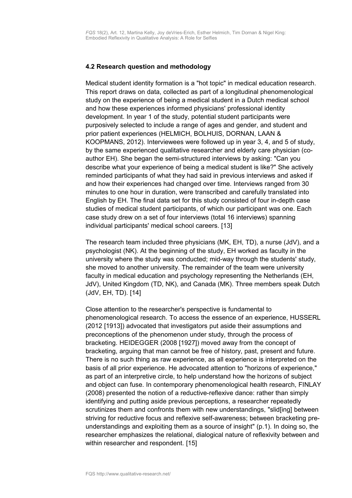### <span id="page-6-0"></span>**4.2 Research question and methodology**

Medical student identity formation is a "hot topic" in medical education research. This report draws on data, collected as part of a longitudinal phenomenological study on the experience of being a medical student in a Dutch medical school and how these experiences informed physicians' professional identity development. In year 1 of the study, potential student participants were purposively selected to include a range of ages and gender, and student and prior patient experiences (HELMICH, BOLHUIS, DORNAN, LAAN & KOOPMANS, 2012). Interviewees were followed up in year 3, 4, and 5 of study, by the same experienced qualitative researcher and elderly care physician (coauthor EH). She began the semi-structured interviews by asking: "Can you describe what your experience of being a medical student is like?" She actively reminded participants of what they had said in previous interviews and asked if and how their experiences had changed over time. Interviews ranged from 30 minutes to one hour in duration, were transcribed and carefully translated into English by EH. The final data set for this study consisted of four in-depth case studies of medical student participants, of which our participant was one. Each case study drew on a set of four interviews (total 16 interviews) spanning individual participants' medical school careers. [13]

The research team included three physicians (MK, EH, TD), a nurse (JdV), and a psychologist (NK). At the beginning of the study, EH worked as faculty in the university where the study was conducted; mid-way through the students' study, she moved to another university. The remainder of the team were university faculty in medical education and psychology representing the Netherlands (EH, JdV), United Kingdom (TD, NK), and Canada (MK). Three members speak Dutch (JdV, EH, TD). [14]

Close attention to the researcher's perspective is fundamental to phenomenological research. To access the essence of an experience, HUSSERL (2012 [1913]) advocated that investigators put aside their assumptions and preconceptions of the phenomenon under study, through the process of bracketing. HEIDEGGER (2008 [1927]) moved away from the concept of bracketing, arguing that man cannot be free of history, past, present and future. There is no such thing as raw experience, as all experience is interpreted on the basis of all prior experience. He advocated attention to "horizons of experience," as part of an interpretive circle, to help understand how the horizons of subject and object can fuse. In contemporary phenomenological health research, FINLAY (2008) presented the notion of a reductive-reflexive dance: rather than simply identifying and putting aside previous perceptions, a researcher repeatedly scrutinizes them and confronts them with new understandings, "slid[ing] between striving for reductive focus and reflexive self-awareness; between bracketing preunderstandings and exploiting them as a source of insight" (p.1). In doing so, the researcher emphasizes the relational, dialogical nature of reflexivity between and within researcher and respondent. [15]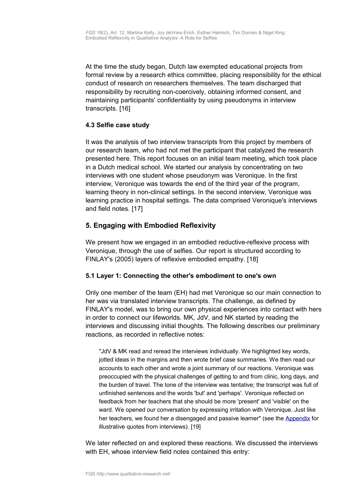At the time the study began, Dutch law exempted educational projects from formal review by a research ethics committee, placing responsibility for the ethical conduct of research on researchers themselves. The team discharged that responsibility by recruiting non-coercively, obtaining informed consent, and maintaining participants' confidentiality by using pseudonyms in interview transcripts. [16]

### <span id="page-7-2"></span>**4.3 Selfie case study**

It was the analysis of two interview transcripts from this project by members of our research team, who had not met the participant that catalyzed the research presented here. This report focuses on an initial team meeting, which took place in a Dutch medical school. We started our analysis by concentrating on two interviews with one student whose pseudonym was Veronique. In the first interview, Veronique was towards the end of the third year of the program, learning theory in non-clinical settings. In the second interview, Veronique was learning practice in hospital settings. The data comprised Veronique's interviews and field notes. [17]

# <span id="page-7-1"></span>**5. Engaging with Embodied Reflexivity**

We present how we engaged in an embodied reductive-reflexive process with Veronique, through the use of selfies. Our report is structured according to FINLAY's (2005) layers of reflexive embodied empathy. [18]

### <span id="page-7-0"></span>**5.1 Layer 1: Connecting the other's embodiment to one's own**

Only one member of the team (EH) had met Veronique so our main connection to her was via translated interview transcripts. The challenge, as defined by FINLAY's model, was to bring our own physical experiences into contact with hers in order to connect our lifeworlds. MK, JdV, and NK started by reading the interviews and discussing initial thoughts. The following describes our preliminary reactions, as recorded in reflective notes:

"JdV & MK read and reread the interviews individually. We highlighted key words, jotted ideas in the margins and then wrote brief case summaries. We then read our accounts to each other and wrote a joint summary of our reactions. Veronique was preoccupied with the physical challenges of getting to and from clinic, long days, and the burden of travel. The tone of the interview was tentative; the transcript was full of unfinished sentences and the words 'but' and 'perhaps'. Veronique reflected on feedback from her teachers that she should be more 'present' and 'visible' on the ward. We opened our conversation by expressing irritation with Veronique. Just like her teachers, we found her a disengaged and passive learner" (see the [Appendix](#page-18-1) for illustrative quotes from interviews). [19]

We later reflected on and explored these reactions. We discussed the interviews with EH, whose interview field notes contained this entry: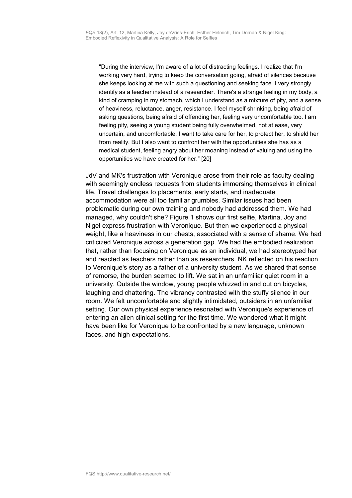"During the interview, I'm aware of a lot of distracting feelings. I realize that I'm working very hard, trying to keep the conversation going, afraid of silences because she keeps looking at me with such a questioning and seeking face. I very strongly identify as a teacher instead of a researcher. There's a strange feeling in my body, a kind of cramping in my stomach, which I understand as a mixture of pity, and a sense of heaviness, reluctance, anger, resistance. I feel myself shrinking, being afraid of asking questions, being afraid of offending her, feeling very uncomfortable too. I am feeling pity, seeing a young student being fully overwhelmed, not at ease, very uncertain, and uncomfortable. I want to take care for her, to protect her, to shield her from reality. But I also want to confront her with the opportunities she has as a medical student, feeling angry about her moaning instead of valuing and using the opportunities we have created for her." [20]

JdV and MK's frustration with Veronique arose from their role as faculty dealing with seemingly endless requests from students immersing themselves in clinical life. Travel challenges to placements, early starts, and inadequate accommodation were all too familiar grumbles. Similar issues had been problematic during our own training and nobody had addressed them. We had managed, why couldn't she? Figure 1 shows our first selfie, Martina, Joy and Nigel express frustration with Veronique. But then we experienced a physical weight, like a heaviness in our chests, associated with a sense of shame. We had criticized Veronique across a generation gap. We had the embodied realization that, rather than focusing on Veronique as an individual, we had stereotyped her and reacted as teachers rather than as researchers. NK reflected on his reaction to Veronique's story as a father of a university student. As we shared that sense of remorse, the burden seemed to lift. We sat in an unfamiliar quiet room in a university. Outside the window, young people whizzed in and out on bicycles, laughing and chattering. The vibrancy contrasted with the stuffy silence in our room. We felt uncomfortable and slightly intimidated, outsiders in an unfamiliar setting. Our own physical experience resonated with Veronique's experience of entering an alien clinical setting for the first time. We wondered what it might have been like for Veronique to be confronted by a new language, unknown faces, and high expectations.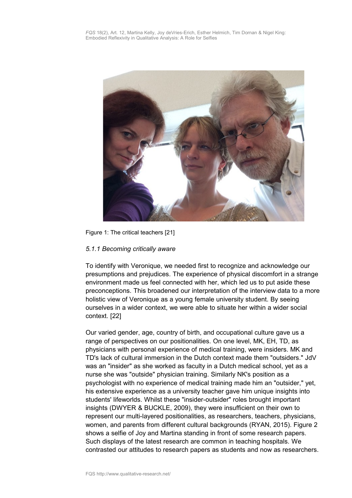

Figure 1: The critical teachers [21]

### <span id="page-9-0"></span>*5.1.1 Becoming critically aware*

To identify with Veronique, we needed first to recognize and acknowledge our presumptions and prejudices. The experience of physical discomfort in a strange environment made us feel connected with her, which led us to put aside these preconceptions. This broadened our interpretation of the interview data to a more holistic view of Veronique as a young female university student. By seeing ourselves in a wider context, we were able to situate her within a wider social context. [22]

Our varied gender, age, country of birth, and occupational culture gave us a range of perspectives on our positionalities. On one level, MK, EH, TD, as physicians with personal experience of medical training, were insiders. MK and TD's lack of cultural immersion in the Dutch context made them "outsiders." JdV was an "insider" as she worked as faculty in a Dutch medical school, yet as a nurse she was "outside" physician training. Similarly NK's position as a psychologist with no experience of medical training made him an "outsider," yet, his extensive experience as a university teacher gave him unique insights into students' lifeworlds. Whilst these "insider-outsider" roles brought important insights (DWYER & BUCKLE, 2009), they were insufficient on their own to represent our multi-layered positionalities, as researchers, teachers, physicians, women, and parents from different cultural backgrounds (RYAN, 2015). Figure 2 shows a selfie of Joy and Martina standing in front of some research papers. Such displays of the latest research are common in teaching hospitals. We contrasted our attitudes to research papers as students and now as researchers.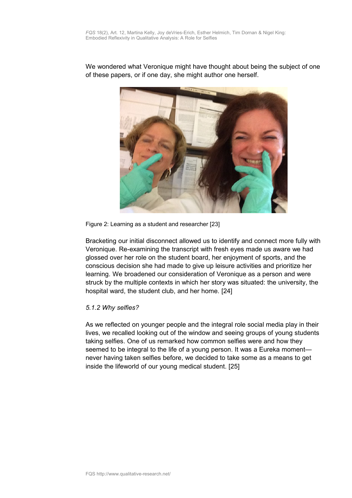We wondered what Veronique might have thought about being the subject of one of these papers, or if one day, she might author one herself.



Figure 2: Learning as a student and researcher [23]

Bracketing our initial disconnect allowed us to identify and connect more fully with Veronique. Re-examining the transcript with fresh eyes made us aware we had glossed over her role on the student board, her enjoyment of sports, and the conscious decision she had made to give up leisure activities and prioritize her learning. We broadened our consideration of Veronique as a person and were struck by the multiple contexts in which her story was situated: the university, the hospital ward, the student club, and her home. [24]

#### <span id="page-10-0"></span>*5.1.2 Why selfies?*

As we reflected on younger people and the integral role social media play in their lives, we recalled looking out of the window and seeing groups of young students taking selfies. One of us remarked how common selfies were and how they seemed to be integral to the life of a young person. It was a Eureka moment never having taken selfies before, we decided to take some as a means to get inside the lifeworld of our young medical student. [25]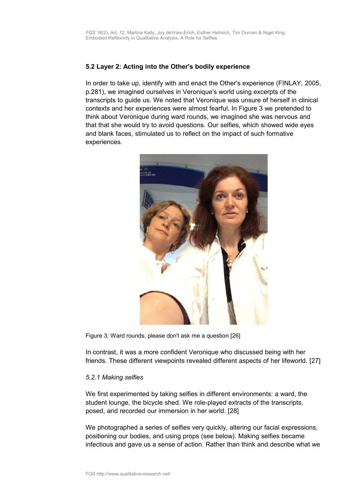### <span id="page-11-1"></span>**5.2 Layer 2: Acting into the Other's bodily experience**

In order to take up, identify with and enact the Other's experience (FINLAY, 2005, p.281), we imagined ourselves in Veronique's world using excerpts of the transcripts to guide us. We noted that Veronique was unsure of herself in clinical contexts and her experiences were almost fearful. In Figure 3 we pretended to think about Veronique during ward rounds, we imagined she was nervous and that that she would try to avoid questions. Our selfies, which showed wide eyes and blank faces, stimulated us to reflect on the impact of such formative experiences.



Figure 3: Ward rounds, please don't ask me a question [26]

In contrast, it was a more confident Veronique who discussed being with her friends. These different viewpoints revealed different aspects of her lifeworld. [27]

#### <span id="page-11-0"></span>*5.2.1 Making selfies*

We first experimented by taking selfies in different environments: a ward, the student lounge, the bicycle shed. We role-played extracts of the transcripts, posed, and recorded our immersion in her world. [28]

We photographed a series of selfies very quickly, altering our facial expressions, positioning our bodies, and using props (see below). Making selfies became infectious and gave us a sense of action. Rather than think and describe what we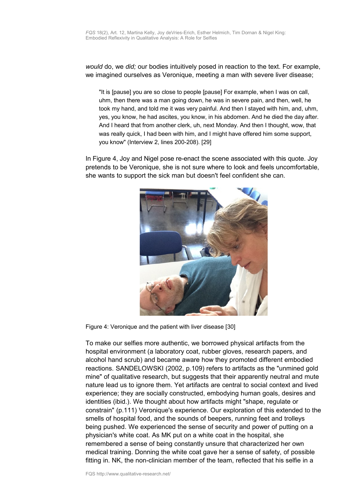*would* do, we *did;* our bodies intuitively posed in reaction to the text. For example, we imagined ourselves as Veronique, meeting a man with severe liver disease;

"It is [pause] you are so close to people [pause] For example, when I was on call, uhm, then there was a man going down, he was in severe pain, and then, well, he took my hand, and told me it was very painful. And then I stayed with him, and, uhm, yes, you know, he had ascites, you know, in his abdomen. And he died the day after. And I heard that from another clerk, uh, next Monday. And then I thought, wow, that was really quick, I had been with him, and I might have offered him some support, you know" (Interview 2, lines 200-208). [29]

In Figure 4, Joy and Nigel pose re-enact the scene associated with this quote. Joy pretends to be Veronique, she is not sure where to look and feels uncomfortable, she wants to support the sick man but doesn't feel confident she can.



Figure 4: Veronique and the patient with liver disease [30]

To make our selfies more authentic, we borrowed physical artifacts from the hospital environment (a laboratory coat, rubber gloves, research papers, and alcohol hand scrub) and became aware how they promoted different embodied reactions. SANDELOWSKI (2002, p.109) refers to artifacts as the "unmined gold mine" of qualitative research, but suggests that their apparently neutral and mute nature lead us to ignore them. Yet artifacts are central to social context and lived experience; they are socially constructed, embodying human goals, desires and identities (ibid.). We thought about how artifacts might "shape, regulate or constrain" (p.111) Veronique's experience. Our exploration of this extended to the smells of hospital food, and the sounds of beepers, running feet and trolleys being pushed. We experienced the sense of security and power of putting on a physician's white coat. As MK put on a white coat in the hospital, she remembered a sense of being constantly unsure that characterized her own medical training. Donning the white coat gave her a sense of safety, of possible fitting in. NK, the non-clinician member of the team, reflected that his selfie in a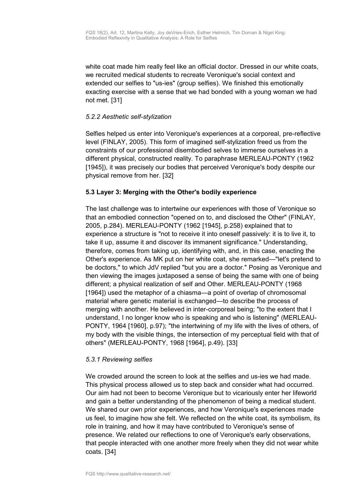white coat made him really feel like an official doctor. Dressed in our white coats, we recruited medical students to recreate Veronique's social context and extended our selfies to "us-ies" (group selfies). We finished this emotionally exacting exercise with a sense that we had bonded with a young woman we had not met. [31]

### <span id="page-13-2"></span>*5.2.2 Aesthetic self-stylization*

Selfies helped us enter into Veronique's experiences at a corporeal, pre-reflective level (FINLAY, 2005). This form of imagined self-stylization freed us from the constraints of our professional disembodied selves to immerse ourselves in a different physical, constructed reality. To paraphrase MERLEAU-PONTY (1962 [1945]), it was precisely our bodies that perceived Veronique's body despite our physical remove from her. [32]

### <span id="page-13-1"></span>**5.3 Layer 3: Merging with the Other's bodily experience**

The last challenge was to intertwine our experiences with those of Veronique so that an embodied connection "opened on to, and disclosed the Other" (FINLAY, 2005, p.284). MERLEAU-PONTY (1962 [1945], p.258) explained that to experience a structure is "not to receive it into oneself passively: it is to live it, to take it up, assume it and discover its immanent significance." Understanding, therefore, comes from taking up, identifying with, and, in this case, enacting the Other's experience. As MK put on her white coat, she remarked—"let's pretend to be doctors," to which JdV replied "but you are a doctor." Posing as Veronique and then viewing the images juxtaposed a sense of being the same with one of being different; a physical realization of self and Other. MERLEAU-PONTY (1968 [1964]) used the metaphor of a chiasma—a point of overlap of chromosomal material where genetic material is exchanged—to describe the process of merging with another. He believed in inter-corporeal being; "to the extent that I understand, I no longer know who is speaking and who is listening" (MERLEAU-PONTY, 1964 [1960], p.97); "the intertwining of my life with the lives of others, of my body with the visible things, the intersection of my perceptual field with that of others" (MERLEAU-PONTY, 1968 [1964], p.49). [33]

#### <span id="page-13-0"></span>*5.3.1 Reviewing selfies*

We crowded around the screen to look at the selfies and us-ies we had made. This physical process allowed us to step back and consider what had occurred. Our aim had not been to become Veronique but to vicariously enter her lifeworld and gain a better understanding of the phenomenon of being a medical student. We shared our own prior experiences, and how Veronique's experiences made us feel, to imagine how she felt. We reflected on the white coat, its symbolism, its role in training, and how it may have contributed to Veronique's sense of presence. We related our reflections to one of Veronique's early observations, that people interacted with one another more freely when they did not wear white coats. [34]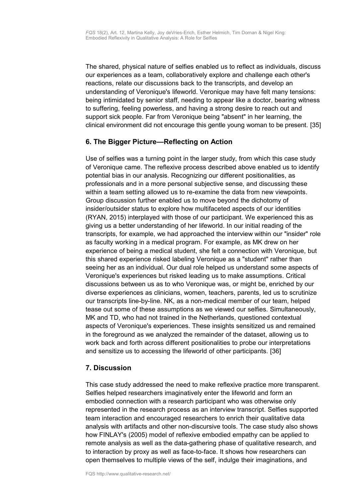The shared, physical nature of selfies enabled us to reflect as individuals, discuss our experiences as a team, collaboratively explore and challenge each other's reactions, relate our discussions back to the transcripts, and develop an understanding of Veronique's lifeworld. Veronique may have felt many tensions: being intimidated by senior staff, needing to appear like a doctor, bearing witness to suffering, feeling powerless, and having a strong desire to reach out and support sick people. Far from Veronique being "absent" in her learning, the clinical environment did not encourage this gentle young woman to be present. [35]

# <span id="page-14-1"></span>**6. The Bigger Picture—Reflecting on Action**

Use of selfies was a turning point in the larger study, from which this case study of Veronique came. The reflexive process described above enabled us to identify potential bias in our analysis. Recognizing our different positionalities, as professionals and in a more personal subjective sense, and discussing these within a team setting allowed us to re-examine the data from new viewpoints. Group discussion further enabled us to move beyond the dichotomy of insider/outsider status to explore how multifaceted aspects of our identities (RYAN, 2015) interplayed with those of our participant. We experienced this as giving us a better understanding of her lifeworld. In our initial reading of the transcripts, for example, we had approached the interview within our "insider" role as faculty working in a medical program. For example, as MK drew on her experience of being a medical student, she felt a connection with Veronique, but this shared experience risked labeling Veronique as a "student" rather than seeing her as an individual. Our dual role helped us understand some aspects of Veronique's experiences but risked leading us to make assumptions. Critical discussions between us as to who Veronique was, or might be, enriched by our diverse experiences as clinicians, women, teachers, parents, led us to scrutinize our transcripts line-by-line. NK, as a non-medical member of our team, helped tease out some of these assumptions as we viewed our selfies. Simultaneously, MK and TD, who had not trained in the Netherlands, questioned contextual aspects of Veronique's experiences. These insights sensitized us and remained in the foreground as we analyzed the remainder of the dataset, allowing us to work back and forth across different positionalities to probe our interpretations and sensitize us to accessing the lifeworld of other participants. [36]

### <span id="page-14-0"></span>**7. Discussion**

This case study addressed the need to make reflexive practice more transparent. Selfies helped researchers imaginatively enter the lifeworld and form an embodied connection with a research participant who was otherwise only represented in the research process as an interview transcript. Selfies supported team interaction and encouraged researchers to enrich their qualitative data analysis with artifacts and other non-discursive tools. The case study also shows how FINLAY's (2005) model of reflexive embodied empathy can be applied to remote analysis as well as the data-gathering phase of qualitative research, and to interaction by proxy as well as face-to-face. It shows how researchers can open themselves to multiple views of the self, indulge their imaginations, and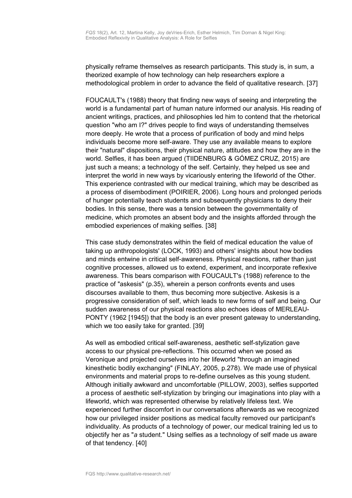physically reframe themselves as research participants. This study is, in sum, a theorized example of how technology can help researchers explore a methodological problem in order to advance the field of qualitative research. [37]

FOUCAULT's (1988) theory that finding new ways of seeing and interpreting the world is a fundamental part of human nature informed our analysis. His reading of ancient writings, practices, and philosophies led him to contend that the rhetorical question "who am I?" drives people to find ways of understanding themselves more deeply. He wrote that a process of purification of body and mind helps individuals become more self-aware. They use any available means to explore their "natural" dispositions, their physical nature, attitudes and how they are in the world. Selfies, it has been argued (TIIDENBURG & GÓMEZ CRUZ, 2015) are just such a means; a technology of the self. Certainly, they helped us see and interpret the world in new ways by vicariously entering the lifeworld of the Other. This experience contrasted with our medical training, which may be described as a process of disembodiment (POIRIER, 2006). Long hours and prolonged periods of hunger potentially teach students and subsequently physicians to deny their bodies. In this sense, there was a tension between the governmentality of medicine, which promotes an absent body and the insights afforded through the embodied experiences of making selfies. [38]

This case study demonstrates within the field of medical education the value of taking up anthropologists' (LOCK, 1993) and others' insights about how bodies and minds entwine in critical self-awareness. Physical reactions, rather than just cognitive processes, allowed us to extend, experiment, and incorporate reflexive awareness. This bears comparison with FOUCAULT's (1988) reference to the practice of "askesis" (p.35), wherein a person confronts events and uses discourses available to them, thus becoming more subjective. Askesis is a progressive consideration of self, which leads to new forms of self and being. Our sudden awareness of our physical reactions also echoes ideas of MERLEAU-PONTY (1962 [1945]) that the body is an ever present gateway to understanding, which we too easily take for granted. [39]

As well as embodied critical self-awareness, aesthetic self-stylization gave access to our physical pre-reflections. This occurred when we posed as Veronique and projected ourselves into her lifeworld "through an imagined kinesthetic bodily exchanging" (FINLAY, 2005, p.278). We made use of physical environments and material props to re-define ourselves as this young student. Although initially awkward and uncomfortable (PILLOW, 2003), selfies supported a process of aesthetic self-stylization by bringing our imaginations into play with a lifeworld, which was represented otherwise by relatively lifeless text. We experienced further discomfort in our conversations afterwards as we recognized how our privileged insider positions as medical faculty removed our participant's individuality. As products of a technology of power, our medical training led us to objectify her as "*a* student." Using selfies as a technology of self made us aware of that tendency. [40]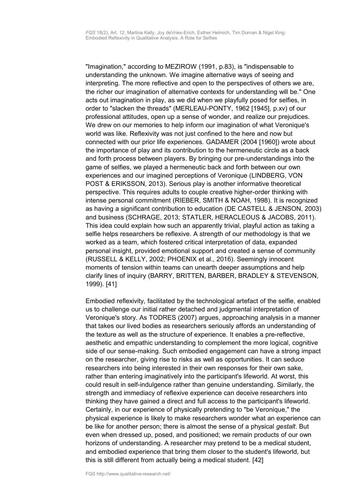"Imagination," according to MEZIROW (1991, p.83), is "indispensable to understanding the unknown. We imagine alternative ways of seeing and interpreting. The more reflective and open to the perspectives of others we are, the richer our imagination of alternative contexts for understanding will be." One acts out imagination in play, as we did when we playfully posed for selfies, in order to "slacken the threads" (MERLEAU-PONTY, 1962 [1945], p.xv) of our professional attitudes, open up a sense of wonder, and realize our prejudices. We drew on our memories to help inform our imagination of what Veronique's world was like. Reflexivity was not just confined to the here and now but connected with our prior life experiences. GADAMER (2004 [1960]) wrote about the importance of play and its contribution to the hermeneutic circle as a back and forth process between players. By bringing our pre-understandings into the game of selfies, we played a hermeneutic back and forth between our own experiences and our imagined perceptions of Veronique (LINDBERG, VON POST & ERIKSSON, 2013). Serious play is another informative theoretical perspective. This requires adults to couple creative higher-order thinking with intense personal commitment (RIEBER, SMITH & NOAH, 1998). It is recognized as having a significant contribution to education (DE CASTELL & JENSON, 2003) and business (SCHRAGE, 2013; STATLER, HERACLEOUS & JACOBS, 2011). This idea could explain how such an apparently trivial, playful action as taking a selfie helps researchers be reflexive. A strength of our methodology is that we worked as a team, which fostered critical interpretation of data, expanded personal insight, provided emotional support and created a sense of community (RUSSELL & KELLY, 2002; PHOENIX et al., 2016). Seemingly innocent moments of tension within teams can unearth deeper assumptions and help clarify lines of inquiry (BARRY, BRITTEN, BARBER, BRADLEY & STEVENSON, 1999). [41]

Embodied reflexivity, facilitated by the technological artefact of the selfie, enabled us to challenge our initial rather detached and judgmental interpretation of Veronique's story. As TODRES (2007) argues, approaching analysis in a manner that takes our lived bodies as researchers seriously affords an understanding of the texture as well as the structure of experience. It enables a pre-reflective, aesthetic and empathic understanding to complement the more logical, cognitive side of our sense-making. Such embodied engagement can have a strong impact on the researcher, giving rise to risks as well as opportunities. It can seduce researchers into being interested in their own responses for their own sake, rather than entering imaginatively into the participant's lifeworld. At worst, this could result in self-indulgence rather than genuine understanding. Similarly, the strength and immediacy of reflexive experience can deceive researchers into thinking they have gained a direct and full access to the participant's lifeworld. Certainly, in our experience of physically pretending to "be Veronique," the physical experience is likely to make researchers wonder what an experience can be like for another person; there is almost the sense of a physical *gestalt*. But even when dressed up, posed, and positioned; we remain products of our own horizons of understanding. A researcher may pretend to be a medical student, and embodied experience that bring them closer to the student's lifeworld, but this is still different from actually being a medical student. [42]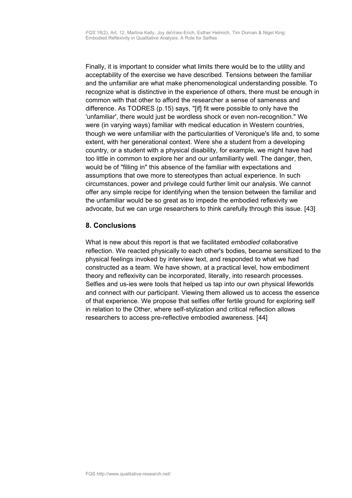Finally, it is important to consider what limits there would be to the utility and acceptability of the exercise we have described. Tensions between the familiar and the unfamiliar are what make phenomenological understanding possible. To recognize what is distinctive in the experience of others, there must be enough in common with that other to afford the researcher a sense of sameness and difference. As TODRES (p.15) says, "[if] fit were possible to only have the 'unfamiliar', there would just be wordless shock or even non-recognition." We were (in varying ways) familiar with medical education in Western countries, though we were unfamiliar with the particularities of Veronique's life and, to some extent, with her generational context. Were she a student from a developing country, or a student with a physical disability, for example, we might have had too little in common to explore her and our unfamiliarity well. The danger, then, would be of "filling in" this absence of the familiar with expectations and assumptions that owe more to stereotypes than actual experience. In such circumstances, power and privilege could further limit our analysis. We cannot offer any simple recipe for identifying when the tension between the familiar and the unfamiliar would be so great as to impede the embodied reflexivity we advocate, but we can urge researchers to think carefully through this issue. [43]

# <span id="page-17-0"></span>**8. Conclusions**

What is new about this report is that we facilitated *embodied* collaborative reflection. We reacted physically to each other's bodies, became sensitized to the physical feelings invoked by interview text, and responded to what we had constructed as a team. We have shown, at a practical level, how embodiment theory and reflexivity can be incorporated, literally, into research processes. Selfies and us-ies were tools that helped us tap into our own physical lifeworlds and connect with our participant. Viewing them allowed us to access the essence of that experience. We propose that selfies offer fertile ground for exploring self in relation to the Other, where self-stylization and critical reflection allows researchers to access pre-reflective embodied awareness. [44]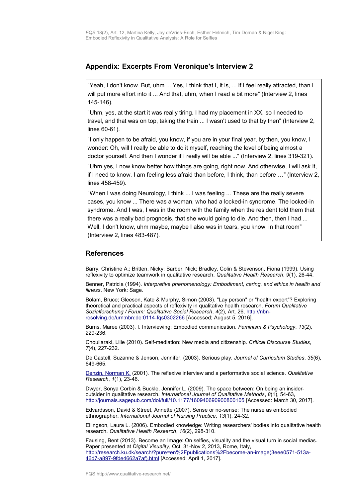### <span id="page-18-1"></span>**Appendix: Excerpts From Veronique's Interview 2**

"Yeah, I don't know. But, uhm ... Yes, I think that I, it is, ... if I feel really attracted, than I will put more effort into it ... And that, uhm, when I read a bit more" (Interview 2, lines 145-146).

"Uhm, yes, at the start it was really tiring. I had my placement in XX, so I needed to travel, and that was on top, taking the train ... I wasn't used to that by then" (Interview 2, lines 60-61).

"I only happen to be afraid, you know, if you are in your final year, by then, you know, I wonder: Oh, will I really be able to do it myself, reaching the level of being almost a doctor yourself. And then I wonder if I really will be able ..." (Interview 2, lines 319-321).

"Uhm yes, I now know better how things are going, right now. And otherwise, I will ask it, if I need to know. I am feeling less afraid than before, I think, than before …" (Interview 2, lines 458-459).

"When I was doing Neurology, I think ... I was feeling ... These are the really severe cases, you know ... There was a woman, who had a locked-in syndrome. The locked-in syndrome. And I was, I was in the room with the family when the resident told them that there was a really bad prognosis, that she would going to die. And then, then I had ... Well, I don't know, uhm maybe, maybe I also was in tears, you know, in that room" (Interview 2, lines 483-487).

#### <span id="page-18-0"></span>**References**

Barry, Christine A.; Britten, Nicky; Barber, Nick; Bradley, Colin & Stevenson, Fiona (1999). Using reflexivity to optimize teamwork in qualitative research. *Qualitative Health Research*, *9*(1), 26-44.

Benner, Patricia (1994). *Interpretive phenomenology: Embodiment, caring, and ethics in health and illness*. New York: Sage.

Bolam, Bruce; Gleeson, Kate & Murphy, Simon (2003). "Lay person" or "health expert"? Exploring theoretical and practical aspects of reflexivity in qualitative health research. *Forum Qualitative Sozialforschung / Forum: Qualitative Social Research*, *4*(2), Art. 26, [http://nbn](http://nbn-resolving.de/urn:nbn:de:0114-fqs0302266)[resolving.de/urn:nbn:de:0114-fqs0302266](http://nbn-resolving.de/urn:nbn:de:0114-fqs0302266) [Accessed; August 5, 2016].

Burns, Maree (2003). I. Interviewing: Embodied communication. *Feminism & Psychology*, *13*(2), 229-236.

Chouliaraki, Lilie (2010). Self-mediation: New media and citizenship. *Critical Discourse Studies*, *7*(4), 227-232.

De Castell, Suzanne & Jenson, Jennifer. (2003). Serious play. *Journal of Curriculum Studies*, *35*(6), 649-665.

[Denzin, Norman K.](http://www.qualitative-research.net/index.php/fqs/about/displayMembership/2) (2001). The reflexive interview and a performative social science. *Qualitative Research*, *1*(1), 23-46.

Dwyer, Sonya Corbin & Buckle, Jennifer L. (2009). The space between: On being an insideroutsider in qualitative research. *International Journal of Qualitative Methods*, *8*(1), 54-63, <http://journals.sagepub.com/doi/full/10.1177/160940690900800105>[Accessed: March 30, 2017].

Edvardsson, David & Street, Annette (2007). Sense or no-sense: The nurse as embodied ethnographer. *International Journal of Nursing Practice*, *13*(1), 24-32.

Ellingson, Laura L. (2006). Embodied knowledge: Writing researchers' bodies into qualitative health research. *Qualitative Health Research*, *16*(2), 298-310.

Fausing, Bent (2013). Become an Image: On selfies, visuality and the visual turn in social medias. Paper presented at *Digital Visuality*, Oct. 31-Nov 2, 2013, Rome, Italy, [http://research.ku.dk/search/?pure=en%2Fpublications%2Fbecome-an-image\(3eee0571-513a-](http://research.ku.dk/search/?pure=en%2Fpublications%2Fbecome-an-image(3eee0571-513a-46d7-a897-9fde4662a7af).html)[46d7-a897-9fde4662a7af\).html](http://research.ku.dk/search/?pure=en%2Fpublications%2Fbecome-an-image(3eee0571-513a-46d7-a897-9fde4662a7af).html) [Accessed: April 1, 2017].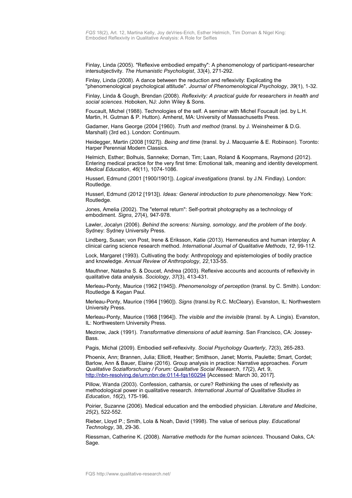Finlay, Linda (2005). "Reflexive embodied empathy": A phenomenology of participant-researcher intersubjectivity. *The Humanistic Psychologist*, *33*(4), 271-292.

Finlay, Linda (2008). A dance between the reduction and reflexivity: Explicating the "phenomenological psychological attitude". *Journal of Phenomenological Psychology*, *39*(1), 1-32.

Finlay, Linda & Gough, Brendan (2008). *Reflexivity: A practical guide for researchers in health and social sciences*. Hoboken, NJ: John Wiley & Sons.

Foucault, Michel (1988). Technologies of the self. A seminar with Michel Foucault (ed. by L.H. Martin, H. Gutman & P. Hutton). Amherst, MA: University of Massachusetts Press.

Gadamer, Hans George (2004 [1960). *Truth and method* (transl. by J. Weinsheimer & D.G. Marshall) (3rd ed.). London: Continuum.

Heidegger, Martin (2008 [1927]). *Being and time* (transl. by J. Macquarrie & E. Robinson). Toronto: Harper Perennial Modern Classics.

Helmich, Esther; Bolhuis, Sanneke; Dornan, Tim; Laan, Roland & Koopmans, Raymond (2012). Entering medical practice for the very first time: Emotional talk, meaning and identity development. *Medical Education*, *46*(11), 1074-1086.

Husserl, Edmund (2001 [1900/1901]). *Logical investigations* (transl. by J.N. Findlay). London: Routledge.

Husserl, Edmund (2012 [1913]). *Ideas: General introduction to pure phenomenology.* New York: Routledge.

Jones, Amelia (2002). The "eternal return": Self-portrait photography as a technology of embodiment. *Signs*, *27*(4), 947-978.

Lawler, Jocalyn (2006). *Behind the screens: Nursing, somology, and the problem of the body*. Sydney: Sydney University Press.

Lindberg, Susan; von Post, Irene & Eriksson, Katie (2013). Hermeneutics and human interplay: A clinical caring science research method. *International Journal of Qualitative Methods*, *12*, 99-112.

Lock, Margaret (1993). Cultivating the body: Anthropology and epistemologies of bodily practice and knowledge. *Annual Review of Anthropology*, *22*,133-55.

Mauthner, Natasha S. & Doucet, Andrea (2003). Reflexive accounts and accounts of reflexivity in qualitative data analysis. *Sociology*, *37*(3), 413-431.

Merleau-Ponty, Maurice (1962 [1945]). *Phenomenology of perception* (transl. by C. Smith). London: Routledge & Kegan Paul.

Merleau-Ponty, Maurice (1964 [1960]). *Signs* (transl.by R.C. McCleary). Evanston, IL: Northwestern University Press.

Merleau-Ponty, Maurice (1968 [1964]). *The visible and the invisible* (transl. by A. Lingis). Evanston, IL: Northwestern University Press.

Mezirow, Jack (1991). *Transformative dimensions of adult learning*. San Francisco, CA: Jossey-Bass.

Pagis, Michal (2009). Embodied self-reflexivity. *Social Psychology Quarterly*, *72*(3), 265-283.

Phoenix, Ann; Brannen, Julia; Elliott, Heather; Smithson, Janet; Morris, Paulette; Smart, Cordet; Barlow, Ann & Bauer, Elaine (2016). Group analysis in practice: Narrative approaches. *Forum Qualitative Sozialforschung / Forum: Qualitative Social Research*, *17*(2), Art. 9, <http://nbn-resolving.de/urn:nbn:de:0114-fqs160294>[Accessed: March 30, 2017].

Pillow, Wanda (2003). Confession, catharsis, or cure? Rethinking the uses of reflexivity as methodological power in qualitative research. *International Journal of Qualitative Studies in Education*, *16*(2), 175-196.

Poirier, Suzanne (2006). Medical education and the embodied physician. *Literature and Medicine*, *25*(2), 522-552.

Rieber, Lloyd P.; Smith, Lola & Noah, David (1998). The value of serious play. *Educational Technology*, 38, 29-36.

Riessman, Catherine K. (2008). *Narrative methods for the human sciences*. Thousand Oaks, CA: Sage.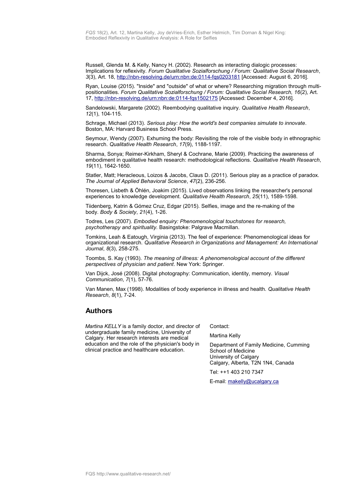Russell, Glenda M. & Kelly, Nancy H. (2002). Research as interacting dialogic processes: Implications for reflexivity. *Forum Qualitative Sozialforschung / Forum: Qualitative Social Research*, *3*(3), Art. 18,<http://nbn-resolving.de/urn:nbn:de:0114-fqs0203181>[Accessed: August 6, 2016].

Ryan, Louise (2015). "Inside" and "outside" of what or where? Researching migration through multipositionalities. *Forum Qualitative Sozialforschung / Forum: Qualitative Social Research, 16*(2), Art. 17,<http://nbn-resolving.de/urn:nbn:de:0114-fqs1502175>[Accessed: December 4, 2016].

Sandelowski, Margarete (2002). Reembodying qualitative inquiry. *Qualitative Health Research*, *12*(1), 104-115.

Schrage, Michael (2013). *Serious play: How the world's best companies simulate to innovate*. Boston, MA: Harvard Business School Press.

Seymour, Wendy (2007). Exhuming the body: Revisiting the role of the visible body in ethnographic research. *Qualitative Health Research*, *17*(9), 1188-1197.

Sharma, Sonya; Reimer-Kirkham, Sheryl & Cochrane, Marie (2009). Practicing the awareness of embodiment in qualitative health research: methodological reflections. *Qualitative Health Research*, *19*(11), 1642-1650.

Statler, Matt; Heracleous, Loizos & Jacobs, Claus D. (2011). Serious play as a practice of paradox. *The Journal of Applied Behavioral Science*, *47*(2), 236-256.

Thoresen, Lisbeth & Öhlén, Joakim (2015). Lived observations linking the researcher's personal experiences to knowledge development. *Qualitative Health Research*, *25*(11), 1589-1598.

Tiidenberg, Katrin & Gómez Cruz, Edgar (2015). Selfies, image and the re-making of the body. *Body & Society*, *21*(4), 1-26.

Todres, Les (2007). *Embodied enquiry: Phenomenological touchstones for research, psychotherapy and spirituality.* Basingstoke: Palgrave Macmillan.

Tomkins, Leah & Eatough, Virginia (2013). The feel of experience: Phenomenological ideas for organizational research. *Qualitative Research in Organizations and Management: An International Journal*, *8*(3), 258-275.

Toombs, S. Kay (1993). *The meaning of illness: A phenomenological account of the different perspectives of physician and patient*. New York: Springer.

Van Dijck, José (2008). Digital photography: Communication, identity, memory. *Visual Communication*, *7*(1), 57-76.

Van Manen, Max (1998). Modalities of body experience in illness and health. *Qualitative Health Research*, *8*(1), 7-24.

#### <span id="page-20-0"></span>**Authors**

*Martina KELLY* is a family doctor, and director of undergraduate family medicine, University of Calgary. Her research interests are medical education and the role of the physician's body in clinical practice and healthcare education.

Contact:

Martina Kelly

Department of Family Medicine, Cumming School of Medicine University of Calgary Calgary, Alberta, T2N 1N4, Canada

Tel: ++1 403 210 7347

E-mail: [makelly@ucalgary.ca](mailto:makelly@ucalgary.ca)